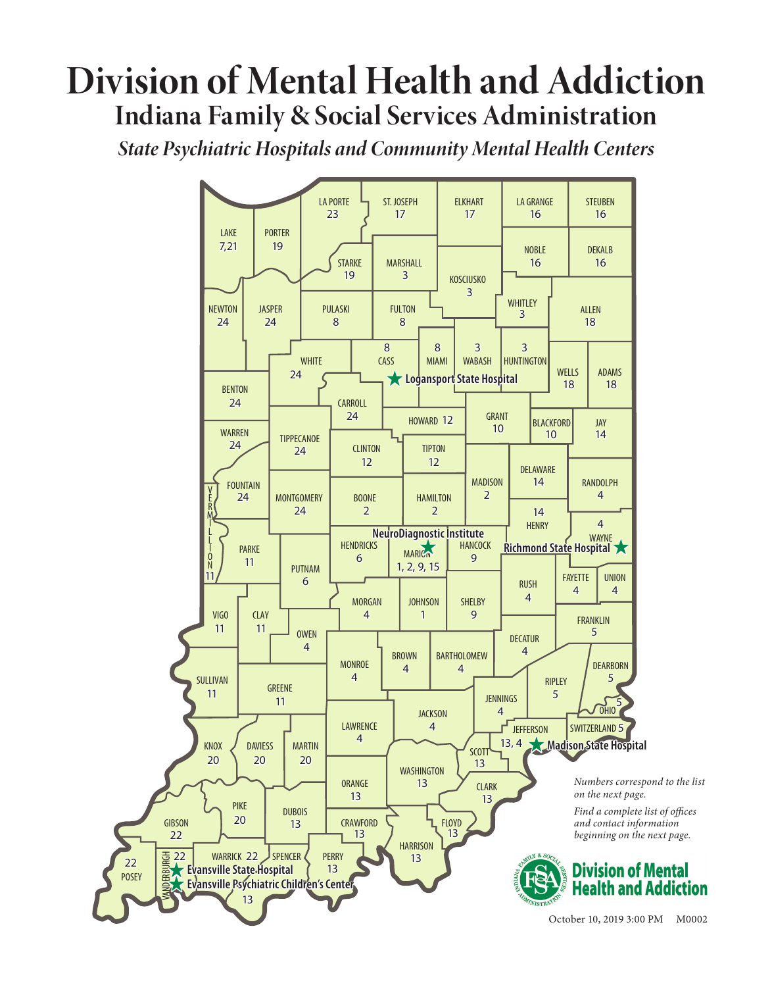# **Division of Mental Health and Addiction Indiana Family & Social Services Administration**

*State Psychiatric Hospitals and Community Mental Health Centers*

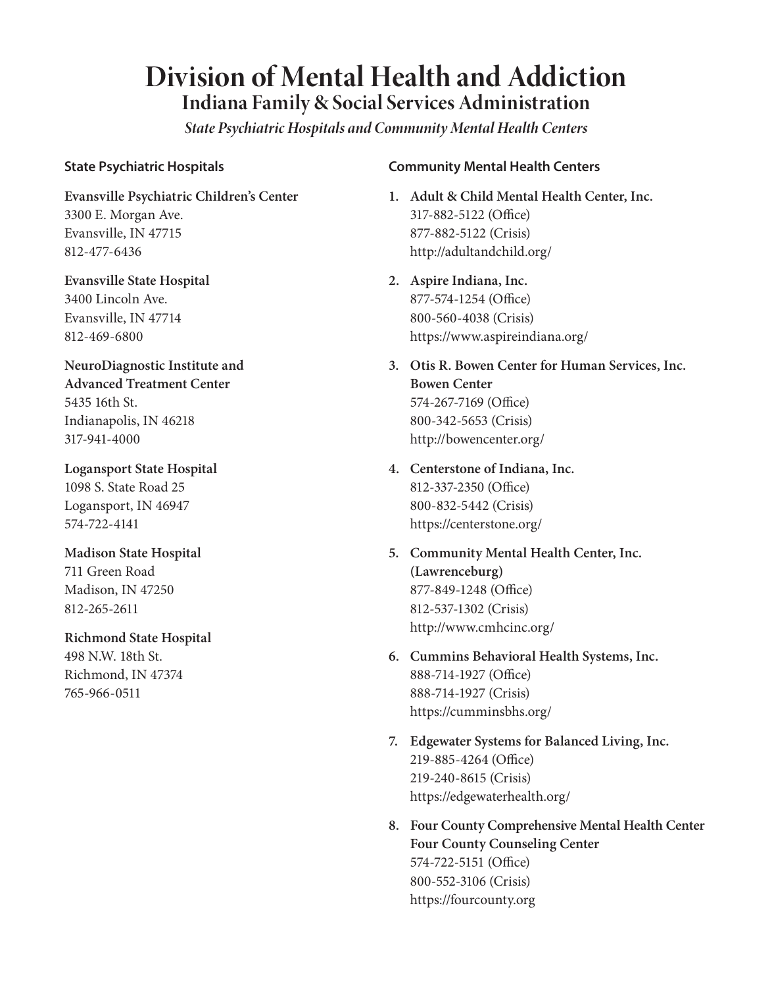# **Division of Mental Health and Addiction Indiana Family & Social Services Administration**

*State Psychiatric Hospitals and Community Mental Health Centers*

#### **State Psychiatric Hospitals**

**Evansville Psychiatric Children's Center** 3300 E. Morgan Ave. Evansville, IN 47715 812-477-6436

**Evansville State Hospital** 3400 Lincoln Ave. Evansville, IN 47714 812-469-6800

**NeuroDiagnostic Institute and Advanced Treatment Center** 5435 16th St. Indianapolis, IN 46218 317-941-4000

**Logansport State Hospital** 1098 S. State Road 25 Logansport, IN 46947 574-722-4141

**Madison State Hospital** 711 Green Road Madison, IN 47250 812-265-2611

**Richmond State Hospital** 498 N.W. 18th St. Richmond, IN 47374 765-966-0511

#### **Community Mental Health Centers**

- **1. Adult & Child Mental Health Center, Inc.** 317-882-5122 (Office) 877-882-5122 (Crisis) http://adultandchild.org/
- **2. Aspire Indiana, Inc.** 877-574-1254 (Office) 800-560-4038 (Crisis) https://www.aspireindiana.org/
- **3. Otis R. Bowen Center for Human Services, Inc. Bowen Center** 574-267-7169 (Office) 800-342-5653 (Crisis) http://bowencenter.org/
- **4. Centerstone of Indiana, Inc.** 812-337-2350 (Office) 800-832-5442 (Crisis) https://centerstone.org/
- **5. Community Mental Health Center, Inc. (Lawrenceburg)** 877-849-1248 (Office) 812-537-1302 (Crisis) http://www.cmhcinc.org/
- **6. Cummins Behavioral Health Systems, Inc.** 888-714-1927 (Office) 888-714-1927 (Crisis) https://cumminsbhs.org/
- **7. Edgewater Systems for Balanced Living, Inc.** 219-885-4264 (Office) 219-240-8615 (Crisis) https://edgewaterhealth.org/
- **8. Four County Comprehensive Mental Health Center Four County Counseling Center** 574-722-5151 (Office) 800-552-3106 (Crisis) https://fourcounty.org